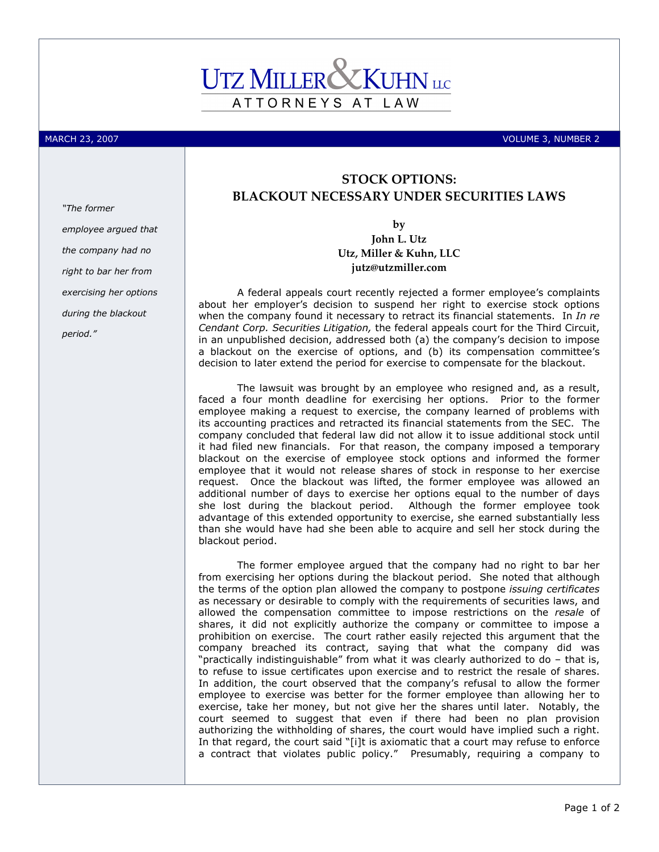## ATTORNEYS AT LAW

"The former

MARCH 23, 2007 **VOLUME 3, NUMBER 2** 

## STOCK OPTIONS: BLACKOUT NECESSARY UNDER SECURITIES LAWS

by

John L. Utz Utz, Miller & Kuhn, LLC jutz@utzmiller.com

A federal appeals court recently rejected a former employee's complaints about her employer's decision to suspend her right to exercise stock options when the company found it necessary to retract its financial statements. In In re Cendant Corp. Securities Litigation, the federal appeals court for the Third Circuit, in an unpublished decision, addressed both (a) the company's decision to impose a blackout on the exercise of options, and (b) its compensation committee's decision to later extend the period for exercise to compensate for the blackout.

The lawsuit was brought by an employee who resigned and, as a result, faced a four month deadline for exercising her options. Prior to the former employee making a request to exercise, the company learned of problems with its accounting practices and retracted its financial statements from the SEC. The company concluded that federal law did not allow it to issue additional stock until it had filed new financials. For that reason, the company imposed a temporary blackout on the exercise of employee stock options and informed the former employee that it would not release shares of stock in response to her exercise request. Once the blackout was lifted, the former employee was allowed an additional number of days to exercise her options equal to the number of days she lost during the blackout period. Although the former employee took advantage of this extended opportunity to exercise, she earned substantially less than she would have had she been able to acquire and sell her stock during the blackout period.

The former employee argued that the company had no right to bar her from exercising her options during the blackout period. She noted that although the terms of the option plan allowed the company to postpone issuing certificates as necessary or desirable to comply with the requirements of securities laws, and allowed the compensation committee to impose restrictions on the resale of shares, it did not explicitly authorize the company or committee to impose a prohibition on exercise. The court rather easily rejected this argument that the company breached its contract, saying that what the company did was "practically indistinguishable" from what it was clearly authorized to do – that is, to refuse to issue certificates upon exercise and to restrict the resale of shares. In addition, the court observed that the company's refusal to allow the former employee to exercise was better for the former employee than allowing her to exercise, take her money, but not give her the shares until later. Notably, the court seemed to suggest that even if there had been no plan provision authorizing the withholding of shares, the court would have implied such a right. In that regard, the court said "[i]t is axiomatic that a court may refuse to enforce a contract that violates public policy." Presumably, requiring a company to

employee argued that the company had no right to bar her from exercising her options during the blackout period."